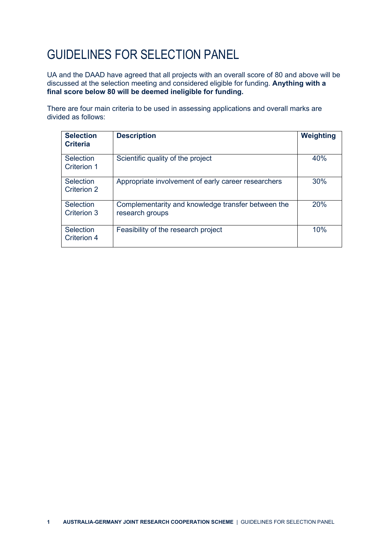## GUIDELINES FOR SELECTION PANEL

UA and the DAAD have agreed that all projects with an overall score of 80 and above will be discussed at the selection meeting and considered eligible for funding. **Anything with a final score below 80 will be deemed ineligible for funding.**

There are four main criteria to be used in assessing applications and overall marks are divided as follows:

| <b>Selection</b><br><b>Criteria</b> | <b>Description</b>                                                    | Weighting |
|-------------------------------------|-----------------------------------------------------------------------|-----------|
| Selection<br>Criterion 1            | Scientific quality of the project                                     | 40%       |
| Selection<br><b>Criterion 2</b>     | Appropriate involvement of early career researchers                   | 30%       |
| Selection<br>Criterion 3            | Complementarity and knowledge transfer between the<br>research groups | 20%       |
| Selection<br>Criterion 4            | Feasibility of the research project                                   | 10%       |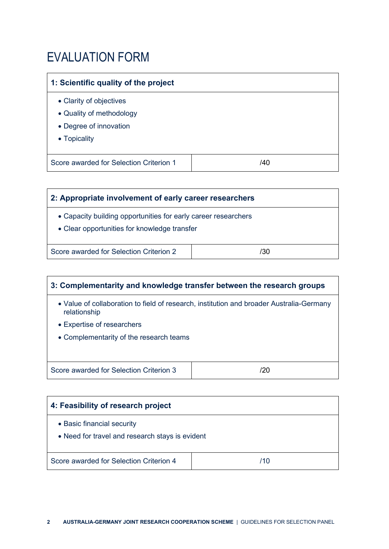#### EVALUATION FORM

### **1: Scientific quality of the project** • Clarity of objectives • Quality of methodology • Degree of innovation • Topicality Score awarded for Selection Criterion 1 | 140

| 2: Appropriate involvement of early career researchers                                                         |     |  |  |
|----------------------------------------------------------------------------------------------------------------|-----|--|--|
| • Capacity building opportunities for early career researchers<br>• Clear opportunities for knowledge transfer |     |  |  |
| Score awarded for Selection Criterion 2                                                                        | /30 |  |  |

# **3: Complementarity and knowledge transfer between the research groups**  • Value of collaboration to field of research, institution and broader Australia-Germany relationship • Expertise of researchers • Complementarity of the research teams Score awarded for Selection Criterion 3 /20

| 4: Feasibility of research project                                            |     |  |  |
|-------------------------------------------------------------------------------|-----|--|--|
| • Basic financial security<br>• Need for travel and research stays is evident |     |  |  |
| Score awarded for Selection Criterion 4                                       | /10 |  |  |